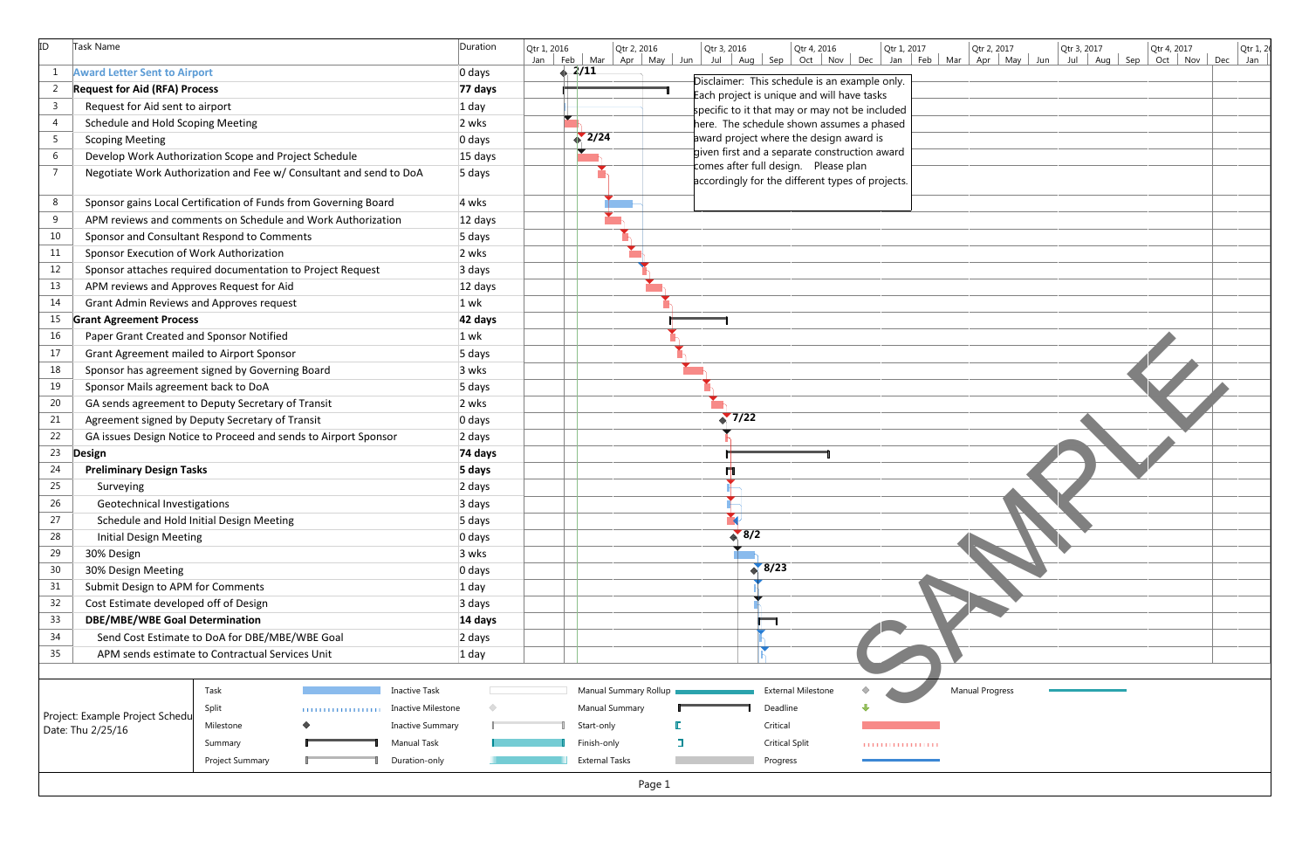| ID             | Task Name                                                          |                 |                         | Duration | Qtr 1, 2<br>Qtr 2, 2016<br>Qtr 3, 2016<br>Qtr 4, 2016<br>Qtr 1, 2017<br>Qtr 2, 2017<br>Qtr 4, 2017<br>Qtr 1, 2016<br>Qtr 3, 2017<br>Jan Feb Mar Apr May Jun<br>$Jul$ Aug Sep<br>Oct Nov Dec Jan Feb Mar<br>Apr   May   Jun  <br>$Jul$ Aug Sep<br>Oct   Nov   Dec<br>Jan |
|----------------|--------------------------------------------------------------------|-----------------|-------------------------|----------|-------------------------------------------------------------------------------------------------------------------------------------------------------------------------------------------------------------------------------------------------------------------------|
|                | <b>Award Letter Sent to Airport</b>                                |                 |                         | 0 days   | $+2/11$                                                                                                                                                                                                                                                                 |
| 2              | <b>Request for Aid (RFA) Process</b>                               |                 |                         | 77 days  | Disclaimer: This schedule is an example only.                                                                                                                                                                                                                           |
| $\overline{3}$ | Request for Aid sent to airport                                    |                 |                         | $1$ day  | Each project is unique and will have tasks<br>specific to it that may or may not be included                                                                                                                                                                            |
| $\overline{4}$ | Schedule and Hold Scoping Meeting                                  |                 |                         | 2 wks    | here. The schedule shown assumes a phased                                                                                                                                                                                                                               |
| 5 <sub>1</sub> | <b>Scoping Meeting</b>                                             |                 |                         | 0 days   | $\sum 2/24$<br>award project where the design award is                                                                                                                                                                                                                  |
| 6              | Develop Work Authorization Scope and Project Schedule              |                 |                         | 15 days  | given first and a separate construction award                                                                                                                                                                                                                           |
| $\overline{7}$ | Negotiate Work Authorization and Fee w/ Consultant and send to DoA |                 |                         | 5 days   | comes after full design. Please plan<br>accordingly for the different types of projects.                                                                                                                                                                                |
| 8              | Sponsor gains Local Certification of Funds from Governing Board    |                 |                         | 4 wks    |                                                                                                                                                                                                                                                                         |
| 9              | APM reviews and comments on Schedule and Work Authorization        |                 |                         | 12 days  |                                                                                                                                                                                                                                                                         |
| 10             | Sponsor and Consultant Respond to Comments                         |                 |                         | 5 days   |                                                                                                                                                                                                                                                                         |
| 11             | Sponsor Execution of Work Authorization                            |                 |                         | 2 wks    |                                                                                                                                                                                                                                                                         |
| 12             | Sponsor attaches required documentation to Project Request         |                 |                         | 3 days   |                                                                                                                                                                                                                                                                         |
| 13             | APM reviews and Approves Request for Aid                           |                 |                         | 12 days  |                                                                                                                                                                                                                                                                         |
| 14             | Grant Admin Reviews and Approves request                           |                 |                         | $1$ wk   |                                                                                                                                                                                                                                                                         |
| 15             | <b>Grant Agreement Process</b>                                     |                 |                         | 42 days  |                                                                                                                                                                                                                                                                         |
| 16             | Paper Grant Created and Sponsor Notified                           |                 |                         | $1$ wk   |                                                                                                                                                                                                                                                                         |
| 17             | Grant Agreement mailed to Airport Sponsor                          |                 |                         | 5 days   |                                                                                                                                                                                                                                                                         |
| 18             | Sponsor has agreement signed by Governing Board                    |                 |                         | 3 wks    |                                                                                                                                                                                                                                                                         |
| 19             | Sponsor Mails agreement back to DoA                                |                 |                         | 5 days   |                                                                                                                                                                                                                                                                         |
| 20             | GA sends agreement to Deputy Secretary of Transit                  |                 |                         | 2 wks    |                                                                                                                                                                                                                                                                         |
| 21             | Agreement signed by Deputy Secretary of Transit                    |                 |                         | 0 days   | 7/22                                                                                                                                                                                                                                                                    |
| 22             | GA issues Design Notice to Proceed and sends to Airport Sponsor    |                 |                         | 2 days   |                                                                                                                                                                                                                                                                         |
| 23             | Design                                                             |                 |                         | 74 days  |                                                                                                                                                                                                                                                                         |
| 24             | <b>Preliminary Design Tasks</b>                                    |                 |                         | 5 days   |                                                                                                                                                                                                                                                                         |
| 25             | Surveying                                                          |                 |                         | 2 days   |                                                                                                                                                                                                                                                                         |
| 26             | Geotechnical Investigations                                        |                 |                         | 3 days   |                                                                                                                                                                                                                                                                         |
| 27             | Schedule and Hold Initial Design Meeting                           |                 |                         | 5 days   | $\rightarrow$                                                                                                                                                                                                                                                           |
| 28             | <b>Initial Design Meeting</b>                                      |                 |                         | 0 days   | 8/2                                                                                                                                                                                                                                                                     |
| 29             | 30% Design                                                         |                 |                         | 3 wks    |                                                                                                                                                                                                                                                                         |
| 30             | 30% Design Meeting                                                 |                 |                         | 0 days   | 8/23                                                                                                                                                                                                                                                                    |
| 31             | Submit Design to APM for Comments                                  |                 |                         | $1$ day  |                                                                                                                                                                                                                                                                         |
| 32             | Cost Estimate developed off of Design                              |                 |                         | 3 days   |                                                                                                                                                                                                                                                                         |
| 33             | <b>DBE/MBE/WBE Goal Determination</b>                              |                 |                         | 14 days  |                                                                                                                                                                                                                                                                         |
| 34             | Send Cost Estimate to DoA for DBE/MBE/WBE Goal                     |                 |                         | 2 days   |                                                                                                                                                                                                                                                                         |
| 35             | APM sends estimate to Contractual Services Unit                    |                 |                         | $1$ day  |                                                                                                                                                                                                                                                                         |
|                |                                                                    |                 |                         |          |                                                                                                                                                                                                                                                                         |
|                |                                                                    | Task            | <b>Inactive Task</b>    |          | <b>Manual Progress</b><br><b>External Milestone</b><br>Manual Summary Rollup                                                                                                                                                                                            |
|                | Project: Example Project Schedu                                    | Split           | Inactive Milestone      |          | <b>Manual Summary</b><br>Deadline                                                                                                                                                                                                                                       |
|                | Date: Thu 2/25/16                                                  | Milestone       | <b>Inactive Summary</b> |          | Critical<br>Start-only                                                                                                                                                                                                                                                  |
|                |                                                                    | Summary         | Manual Task             |          | ı<br>Finish-only<br><b>Critical Split</b><br><b></b>                                                                                                                                                                                                                    |
|                |                                                                    | Project Summary | Duration-only           |          | <b>External Tasks</b><br>Progress                                                                                                                                                                                                                                       |
|                |                                                                    |                 |                         |          | Page 1                                                                                                                                                                                                                                                                  |

| Dec                        | Qtr 1, 2017<br>Jan | Feb | Mar | Qtr 2, 2017<br>Apr | $May$ Jun | Qtr 3, 2017<br>Jul | Aug Sep | Qtr 4, 2017<br>Oct | <b>Nov</b> | Dec | Qtr 1, 2<br>Jan |
|----------------------------|--------------------|-----|-----|--------------------|-----------|--------------------|---------|--------------------|------------|-----|-----------------|
| xample only.               |                    |     |     |                    |           |                    |         |                    |            |     |                 |
| ave tasks<br>t be included |                    |     |     |                    |           |                    |         |                    |            |     |                 |
| nes a phased<br>award is   |                    |     |     |                    |           |                    |         |                    |            |     |                 |
| uction award               |                    |     |     |                    |           |                    |         |                    |            |     |                 |
| plan<br>es of projects.    |                    |     |     |                    |           |                    |         |                    |            |     |                 |
|                            |                    |     |     |                    |           |                    |         |                    |            |     |                 |
|                            |                    |     |     |                    |           |                    |         |                    |            |     |                 |
|                            |                    |     |     |                    |           |                    |         |                    |            |     |                 |
|                            |                    |     |     |                    |           |                    |         |                    |            |     |                 |
|                            |                    |     |     |                    |           |                    |         |                    |            |     |                 |
|                            |                    |     |     |                    |           |                    |         |                    |            |     |                 |
|                            |                    |     |     |                    |           |                    |         |                    |            |     |                 |
|                            |                    |     |     |                    |           |                    |         |                    |            |     |                 |
|                            |                    |     |     |                    |           |                    |         |                    |            |     |                 |
|                            |                    |     |     |                    |           |                    |         |                    |            |     |                 |
|                            |                    |     |     |                    |           |                    |         |                    |            |     |                 |
|                            |                    |     |     |                    |           |                    |         |                    |            |     |                 |
|                            |                    |     |     |                    |           |                    |         |                    |            |     |                 |
|                            |                    |     |     |                    |           |                    |         |                    |            |     |                 |
|                            |                    |     |     |                    |           |                    |         |                    |            |     |                 |
|                            |                    |     |     |                    |           |                    |         |                    |            |     |                 |
|                            |                    |     |     |                    |           |                    |         |                    |            |     |                 |
|                            |                    |     |     |                    |           |                    |         |                    |            |     |                 |
|                            |                    |     |     |                    |           |                    |         |                    |            |     |                 |
|                            |                    |     |     |                    |           |                    |         |                    |            |     |                 |
|                            |                    |     |     | Manual Progress    |           |                    |         |                    |            |     |                 |
|                            |                    |     |     |                    |           |                    |         |                    |            |     |                 |
|                            | .                  |     |     |                    |           |                    |         |                    |            |     |                 |
|                            |                    |     |     |                    |           |                    |         |                    |            |     |                 |
|                            |                    |     |     |                    |           |                    |         |                    |            |     |                 |
|                            |                    |     |     |                    |           |                    |         |                    |            |     |                 |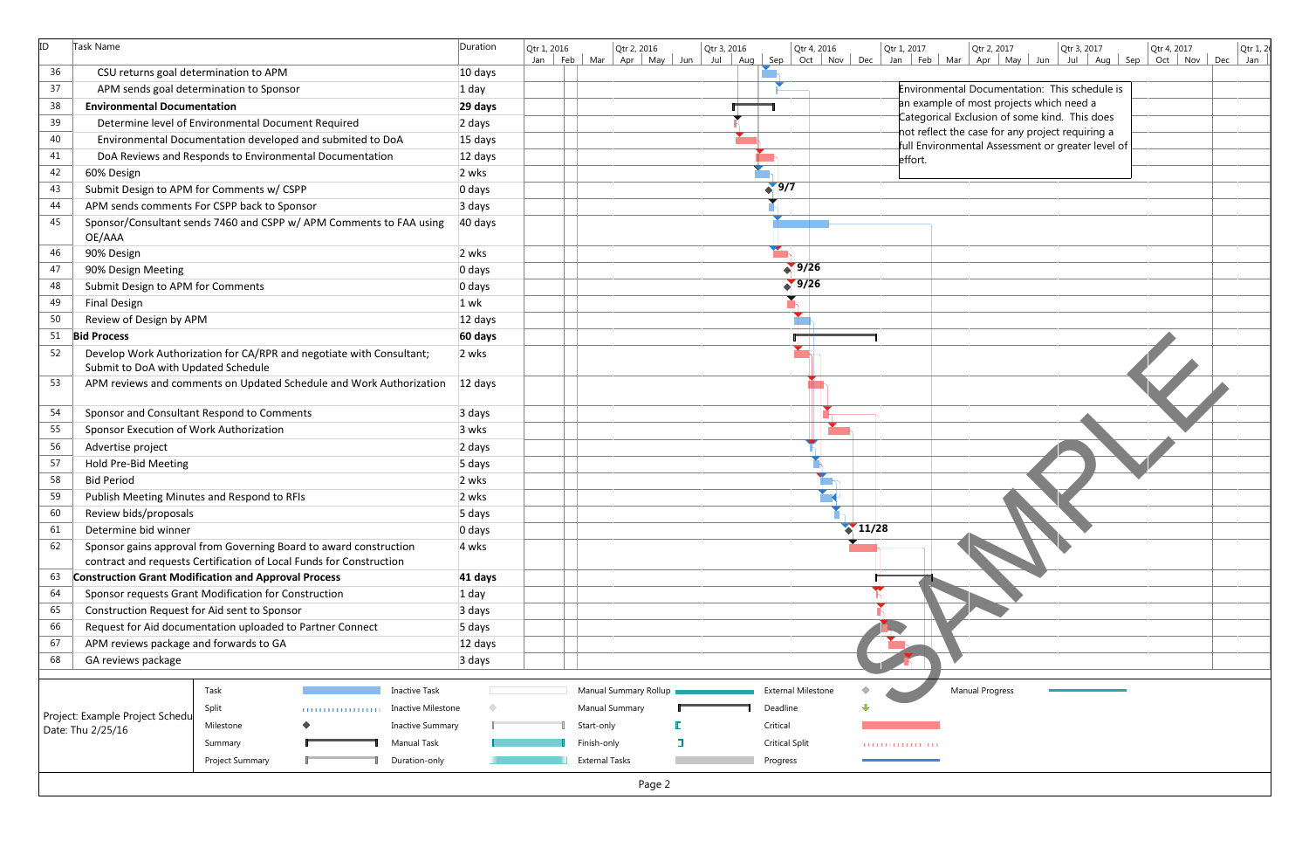| ID | Task Name                                    |                                                                      | Duration | Qtr 3, 2016<br>Qtr 2, 2016<br>Qtr 1, 2017<br>Qtr 2, 2017<br>Qtr 4, 2016<br>Qtr 3, 2017<br>Qtr 4, 2017<br>Qtr 1, 2016<br>Oct   Nov   Dec  <br>Jan Feb Mar Apr May Jun Jul Aug Sep<br>Jan Feb Mar Apr May Jun<br>Jul $\vert$ | Qtr 1, 2<br>Oct Nov Dec<br>Jan |
|----|----------------------------------------------|----------------------------------------------------------------------|----------|----------------------------------------------------------------------------------------------------------------------------------------------------------------------------------------------------------------------------|--------------------------------|
| 36 | CSU returns goal determination to APM        |                                                                      | 10 days  |                                                                                                                                                                                                                            |                                |
| 37 |                                              | APM sends goal determination to Sponsor                              | $1$ day  | Environmental Documentation: This schedule is                                                                                                                                                                              |                                |
| 38 | <b>Environmental Documentation</b>           |                                                                      | 29 days  | an example of most projects which need a                                                                                                                                                                                   |                                |
| 39 |                                              | Determine level of Environmental Document Required                   | 2 days   | Categorical Exclusion of some kind. This does                                                                                                                                                                              |                                |
| 40 |                                              | Environmental Documentation developed and submited to DoA            | 15 days  | not reflect the case for any project requiring a                                                                                                                                                                           |                                |
| 41 |                                              | DoA Reviews and Responds to Environmental Documentation              | 12 days  | full Environmental Assessment or greater level of                                                                                                                                                                          |                                |
| 42 | 60% Design                                   |                                                                      | 2 wks    | effort.                                                                                                                                                                                                                    |                                |
| 43 |                                              | Submit Design to APM for Comments w/ CSPP                            | 0 days   | $\sqrt{9/7}$                                                                                                                                                                                                               |                                |
| 44 |                                              | APM sends comments For CSPP back to Sponsor                          | 3 days   |                                                                                                                                                                                                                            |                                |
| 45 |                                              | Sponsor/Consultant sends 7460 and CSPP w/ APM Comments to FAA using  | 40 days  |                                                                                                                                                                                                                            |                                |
|    | OE/AAA                                       |                                                                      |          |                                                                                                                                                                                                                            |                                |
| 46 | 90% Design                                   |                                                                      | 2 wks    |                                                                                                                                                                                                                            |                                |
| 47 | 90% Design Meeting                           |                                                                      | 0 days   | 9/26                                                                                                                                                                                                                       |                                |
| 48 | Submit Design to APM for Comments            |                                                                      | 0 days   | 9/26                                                                                                                                                                                                                       |                                |
| 49 | <b>Final Design</b>                          |                                                                      | $1$ wk   |                                                                                                                                                                                                                            |                                |
| 50 | Review of Design by APM                      |                                                                      | 12 days  |                                                                                                                                                                                                                            |                                |
| 51 | <b>Bid Process</b>                           |                                                                      | 60 days  |                                                                                                                                                                                                                            |                                |
| 52 |                                              | Develop Work Authorization for CA/RPR and negotiate with Consultant; | 2 wks    |                                                                                                                                                                                                                            |                                |
|    | Submit to DoA with Updated Schedule          |                                                                      |          |                                                                                                                                                                                                                            |                                |
| 53 |                                              | APM reviews and comments on Updated Schedule and Work Authorization  | 12 days  |                                                                                                                                                                                                                            |                                |
|    |                                              |                                                                      |          |                                                                                                                                                                                                                            |                                |
| 54 |                                              | Sponsor and Consultant Respond to Comments                           | 3 days   |                                                                                                                                                                                                                            |                                |
| 55 | Sponsor Execution of Work Authorization      |                                                                      | 3 wks    |                                                                                                                                                                                                                            |                                |
| 56 | Advertise project                            |                                                                      | 2 days   |                                                                                                                                                                                                                            |                                |
| 57 | Hold Pre-Bid Meeting                         |                                                                      | 5 days   |                                                                                                                                                                                                                            |                                |
| 58 | <b>Bid Period</b>                            |                                                                      | 2 wks    |                                                                                                                                                                                                                            |                                |
| 59 |                                              | Publish Meeting Minutes and Respond to RFIs                          | 2 wks    |                                                                                                                                                                                                                            |                                |
| 60 | Review bids/proposals                        |                                                                      | 5 days   |                                                                                                                                                                                                                            |                                |
| 61 | Determine bid winner                         |                                                                      | 0 days   | $\binom{11}{28}$                                                                                                                                                                                                           |                                |
| 62 |                                              | Sponsor gains approval from Governing Board to award construction    | 4 wks    |                                                                                                                                                                                                                            |                                |
|    |                                              | contract and requests Certification of Local Funds for Construction  |          |                                                                                                                                                                                                                            |                                |
| 63 |                                              | <b>Construction Grant Modification and Approval Process</b>          | 41 days  |                                                                                                                                                                                                                            |                                |
| 64 |                                              | Sponsor requests Grant Modification for Construction                 | $1$ day  |                                                                                                                                                                                                                            |                                |
| 65 | Construction Request for Aid sent to Sponsor |                                                                      | 3 days   |                                                                                                                                                                                                                            |                                |
| 66 |                                              | Request for Aid documentation uploaded to Partner Connect            | 5 days   |                                                                                                                                                                                                                            |                                |
| 67 | APM reviews package and forwards to GA       |                                                                      | 12 days  |                                                                                                                                                                                                                            |                                |
| 68 | GA reviews package                           |                                                                      | 3 days   |                                                                                                                                                                                                                            |                                |
|    |                                              |                                                                      |          |                                                                                                                                                                                                                            |                                |
|    |                                              | <b>Inactive Task</b><br>Task                                         |          | <b>Manual Progress</b><br>Manual Summary Rollup<br>External Milestone                                                                                                                                                      |                                |
|    | Project: Example Project Schedu              | Split<br><b>Inactive Milestone</b><br>.                              |          | <b>Manual Summary</b><br>Deadline                                                                                                                                                                                          |                                |
|    | Date: Thu 2/25/16                            | <b>Inactive Summary</b><br>Milestone                                 |          | Critical<br>Start-only                                                                                                                                                                                                     |                                |
|    |                                              | Manual Task<br>Summary                                               |          | Finish-only<br><b>Critical Split</b><br>.                                                                                                                                                                                  |                                |
|    |                                              | Project Summary<br>Duration-only                                     |          | <b>External Tasks</b><br>Progress                                                                                                                                                                                          |                                |
|    |                                              |                                                                      |          | Page 2                                                                                                                                                                                                                     |                                |

| Dec   | Qtr 1, 2017<br>Feb<br><b>Jan</b> | Mar | Qtr 2, 2017<br>Apr<br>May                                                                                                                                                                                                                           | Jun | Qtr 3, 2017<br>Jul | Aug | Sep | Qtr 4, 2017<br>Oct | <b>Nov</b> | Dec | Qtr 1, 2<br>Jan |
|-------|----------------------------------|-----|-----------------------------------------------------------------------------------------------------------------------------------------------------------------------------------------------------------------------------------------------------|-----|--------------------|-----|-----|--------------------|------------|-----|-----------------|
|       | effort.                          |     | Environmental Documentation: This schedule is<br>an example of most projects which need a<br>Categorical Exclusion of some kind. This does<br>not reflect the case for any project requiring a<br>full Environmental Assessment or greater level of |     |                    |     |     |                    |            |     |                 |
|       |                                  |     |                                                                                                                                                                                                                                                     |     |                    |     |     |                    |            |     |                 |
|       |                                  |     |                                                                                                                                                                                                                                                     |     |                    |     |     |                    |            |     |                 |
|       |                                  |     |                                                                                                                                                                                                                                                     |     |                    |     |     |                    |            |     |                 |
|       |                                  |     |                                                                                                                                                                                                                                                     |     |                    |     |     |                    |            |     |                 |
| 11/28 |                                  |     |                                                                                                                                                                                                                                                     |     |                    |     |     |                    |            |     |                 |
|       |                                  |     |                                                                                                                                                                                                                                                     |     |                    |     |     |                    |            |     |                 |
|       |                                  |     | Manual Progress                                                                                                                                                                                                                                     |     |                    |     |     |                    |            |     |                 |
|       | .                                |     |                                                                                                                                                                                                                                                     |     |                    |     |     |                    |            |     |                 |
|       |                                  |     |                                                                                                                                                                                                                                                     |     |                    |     |     |                    |            |     |                 |